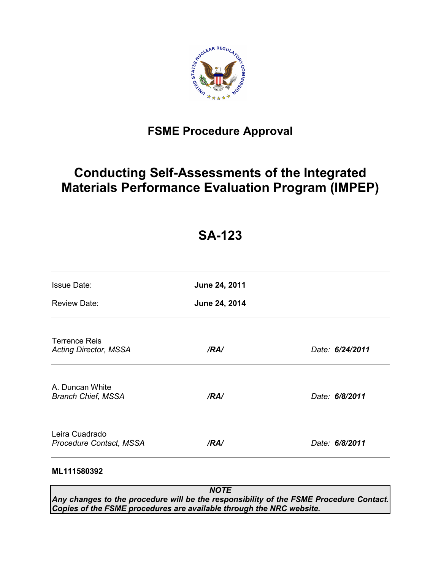

# **FSME Procedure Approval**

# **Conducting Self-Assessments of the Integrated Materials Performance Evaluation Program (IMPEP)**

# **SA-123**

| <b>Issue Date:</b>                                   | June 24, 2011 |                 |
|------------------------------------------------------|---------------|-----------------|
| <b>Review Date:</b>                                  | June 24, 2014 |                 |
| <b>Terrence Reis</b><br><b>Acting Director, MSSA</b> | /RA/          | Date: 6/24/2011 |
| A. Duncan White<br><b>Branch Chief, MSSA</b>         | /RA/          | Date: 6/8/2011  |
| Leira Cuadrado<br>Procedure Contact, MSSA            | /RA/          | Date: 6/8/2011  |
| ML111580392                                          |               |                 |

*NOTE Any changes to the procedure will be the responsibility of the FSME Procedure Contact. Copies of the FSME procedures are available through the NRC website.*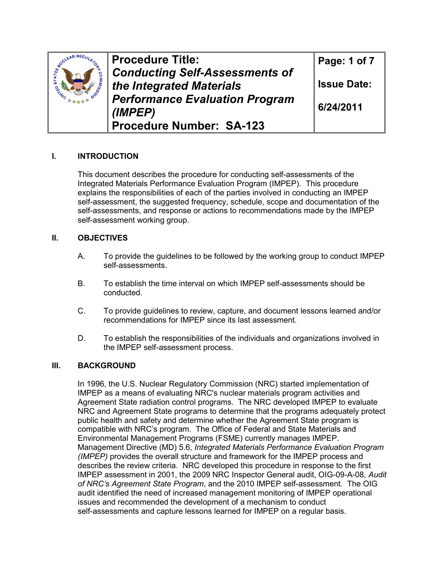| CLEAR REGILL | Procedure Title:                      | Page: 1 of 7       |  |
|--------------|---------------------------------------|--------------------|--|
|              | <b>Conducting Self-Assessments of</b> |                    |  |
|              | the Integrated Materials              | <b>Issue Date:</b> |  |
|              | <b>Performance Evaluation Program</b> | 6/24/2011          |  |
|              | (IMPEP)                               |                    |  |
|              | Procedure Number: SA-123              |                    |  |

## **I. INTRODUCTION**

 This document describes the procedure for conducting self-assessments of the Integrated Materials Performance Evaluation Program (IMPEP). This procedure explains the responsibilities of each of the parties involved in conducting an IMPEP self-assessment, the suggested frequency, schedule, scope and documentation of the self-assessments, and response or actions to recommendations made by the IMPEP self-assessment working group.

### **II. OBJECTIVES**

- A. To provide the guidelines to be followed by the working group to conduct IMPEP self-assessments.
- B. To establish the time interval on which IMPEP self-assessments should be conducted.
- C. To provide guidelines to review, capture, and document lessons learned and/or recommendations for IMPEP since its last assessment.
- D. To establish the responsibilities of the individuals and organizations involved in the IMPEP self-assessment process.

### **III. BACKGROUND**

In 1996, the U.S. Nuclear Regulatory Commission (NRC) started implementation of IMPEP as a means of evaluating NRC's nuclear materials program activities and Agreement State radiation control programs. The NRC developed IMPEP to evaluate NRC and Agreement State programs to determine that the programs adequately protect public health and safety and determine whether the Agreement State program is compatible with NRC's program. The Office of Federal and State Materials and Environmental Management Programs (FSME) currently manages IMPEP. Management Directive (MD) 5.6, *Integrated Materials Performance Evaluation Program (IMPEP)* provides the overall structure and framework for the IMPEP process and describes the review criteria. NRC developed this procedure in response to the first IMPEP assessment in 2001, the 2009 NRC Inspector General audit, OIG-09-A-08, *Audit of NRC's Agreement State Program*, and the 2010 IMPEP self-assessment. The OIG audit identified the need of increased management monitoring of IMPEP operational issues and recommended the development of a mechanism to conduct self-assessments and capture lessons learned for IMPEP on a regular basis.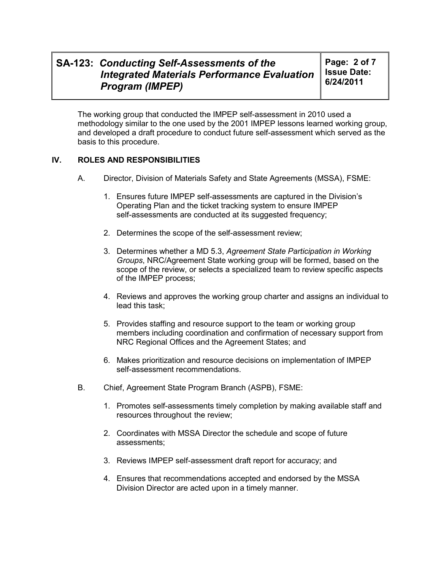**Page: 2 of 7 Issue Date: 6/24/2011** 

The working group that conducted the IMPEP self-assessment in 2010 used a methodology similar to the one used by the 2001 IMPEP lessons learned working group, and developed a draft procedure to conduct future self-assessment which served as the basis to this procedure.

### **IV. ROLES AND RESPONSIBILITIES**

- A. Director, Division of Materials Safety and State Agreements (MSSA), FSME:
	- 1. Ensures future IMPEP self-assessments are captured in the Division's Operating Plan and the ticket tracking system to ensure IMPEP self-assessments are conducted at its suggested frequency;
	- 2. Determines the scope of the self-assessment review;
	- 3. Determines whether a MD 5.3, *Agreement State Participation in Working Groups*, NRC/Agreement State working group will be formed, based on the scope of the review, or selects a specialized team to review specific aspects of the IMPEP process;
	- 4. Reviews and approves the working group charter and assigns an individual to lead this task;
	- 5. Provides staffing and resource support to the team or working group members including coordination and confirmation of necessary support from NRC Regional Offices and the Agreement States; and
	- 6. Makes prioritization and resource decisions on implementation of IMPEP self-assessment recommendations.
- B. Chief, Agreement State Program Branch (ASPB), FSME:
	- 1. Promotes self-assessments timely completion by making available staff and resources throughout the review;
	- 2. Coordinates with MSSA Director the schedule and scope of future assessments;
	- 3. Reviews IMPEP self-assessment draft report for accuracy; and
	- 4. Ensures that recommendations accepted and endorsed by the MSSA Division Director are acted upon in a timely manner.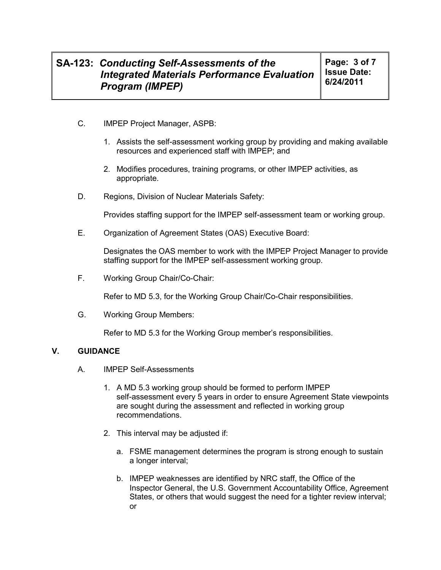- C. IMPEP Project Manager, ASPB:
	- 1. Assists the self-assessment working group by providing and making available resources and experienced staff with IMPEP; and
	- 2. Modifies procedures, training programs, or other IMPEP activities, as appropriate.
- D. Regions, Division of Nuclear Materials Safety:

Provides staffing support for the IMPEP self-assessment team or working group.

E. Organization of Agreement States (OAS) Executive Board:

Designates the OAS member to work with the IMPEP Project Manager to provide staffing support for the IMPEP self-assessment working group.

F. Working Group Chair/Co-Chair:

Refer to MD 5.3, for the Working Group Chair/Co-Chair responsibilities.

G. Working Group Members:

Refer to MD 5.3 for the Working Group member's responsibilities.

#### **V. GUIDANCE**

- A. IMPEP Self-Assessments
	- 1. A MD 5.3 working group should be formed to perform IMPEP self-assessment every 5 years in order to ensure Agreement State viewpoints are sought during the assessment and reflected in working group recommendations.
	- 2. This interval may be adjusted if:
		- a. FSME management determines the program is strong enough to sustain a longer interval;
		- b. IMPEP weaknesses are identified by NRC staff, the Office of the Inspector General, the U.S. Government Accountability Office, Agreement States, or others that would suggest the need for a tighter review interval; or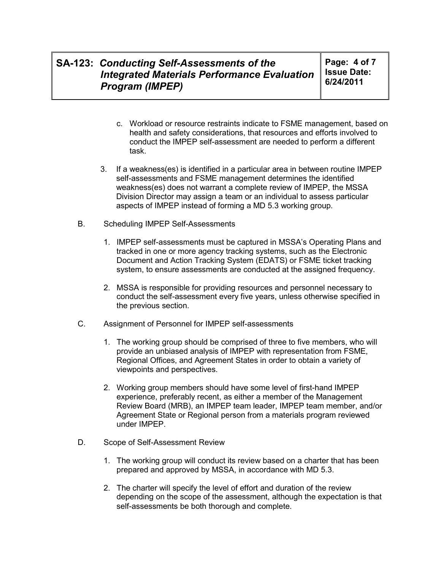**Page: 4 of 7 Issue Date: 6/24/2011** 

- c. Workload or resource restraints indicate to FSME management, based on health and safety considerations, that resources and efforts involved to conduct the IMPEP self-assessment are needed to perform a different task.
- 3. If a weakness(es) is identified in a particular area in between routine IMPEP self-assessments and FSME management determines the identified weakness(es) does not warrant a complete review of IMPEP, the MSSA Division Director may assign a team or an individual to assess particular aspects of IMPEP instead of forming a MD 5.3 working group.
- B. Scheduling IMPEP Self-Assessments
	- 1. IMPEP self-assessments must be captured in MSSA's Operating Plans and tracked in one or more agency tracking systems, such as the Electronic Document and Action Tracking System (EDATS) or FSME ticket tracking system, to ensure assessments are conducted at the assigned frequency.
	- 2. MSSA is responsible for providing resources and personnel necessary to conduct the self-assessment every five years, unless otherwise specified in the previous section.
- C. Assignment of Personnel for IMPEP self-assessments
	- 1. The working group should be comprised of three to five members, who will provide an unbiased analysis of IMPEP with representation from FSME, Regional Offices, and Agreement States in order to obtain a variety of viewpoints and perspectives.
	- 2. Working group members should have some level of first-hand IMPEP experience, preferably recent, as either a member of the Management Review Board (MRB), an IMPEP team leader, IMPEP team member, and/or Agreement State or Regional person from a materials program reviewed under IMPEP.
- D. Scope of Self-Assessment Review
	- 1. The working group will conduct its review based on a charter that has been prepared and approved by MSSA, in accordance with MD 5.3.
	- 2. The charter will specify the level of effort and duration of the review depending on the scope of the assessment, although the expectation is that self-assessments be both thorough and complete.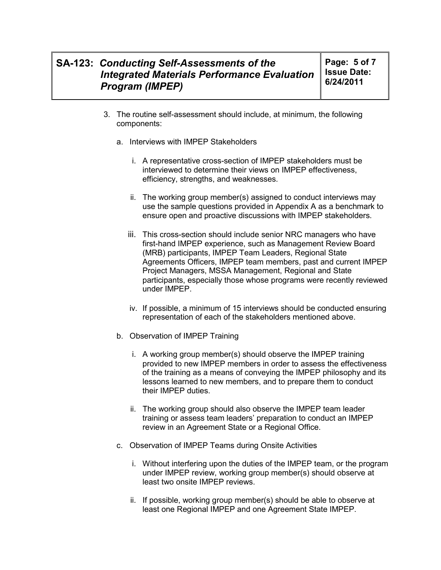**Page: 5 of 7 Issue Date: 6/24/2011** 

- 3. The routine self-assessment should include, at minimum, the following components:
	- a. Interviews with IMPEP Stakeholders
		- i. A representative cross-section of IMPEP stakeholders must be interviewed to determine their views on IMPEP effectiveness, efficiency, strengths, and weaknesses.
		- ii. The working group member(s) assigned to conduct interviews may use the sample questions provided in Appendix A as a benchmark to ensure open and proactive discussions with IMPEP stakeholders.
		- iii. This cross-section should include senior NRC managers who have first-hand IMPEP experience, such as Management Review Board (MRB) participants, IMPEP Team Leaders, Regional State Agreements Officers, IMPEP team members, past and current IMPEP Project Managers, MSSA Management, Regional and State participants, especially those whose programs were recently reviewed under IMPEP.
		- iv. If possible, a minimum of 15 interviews should be conducted ensuring representation of each of the stakeholders mentioned above.
	- b. Observation of IMPEP Training
		- i. A working group member(s) should observe the IMPEP training provided to new IMPEP members in order to assess the effectiveness of the training as a means of conveying the IMPEP philosophy and its lessons learned to new members, and to prepare them to conduct their IMPEP duties.
		- ii. The working group should also observe the IMPEP team leader training or assess team leaders' preparation to conduct an IMPEP review in an Agreement State or a Regional Office.
	- c. Observation of IMPEP Teams during Onsite Activities
		- i. Without interfering upon the duties of the IMPEP team, or the program under IMPEP review, working group member(s) should observe at least two onsite IMPEP reviews.
		- ii. If possible, working group member(s) should be able to observe at least one Regional IMPEP and one Agreement State IMPEP.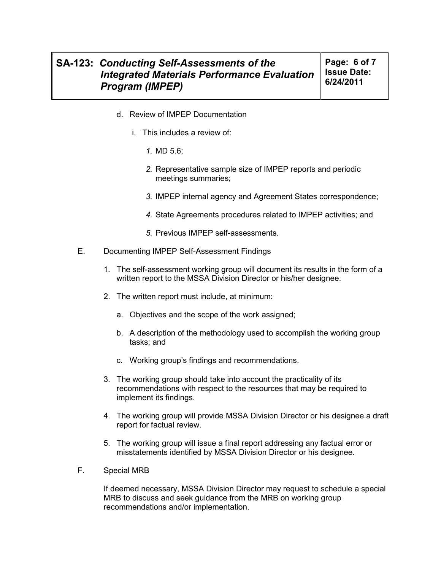- d. Review of IMPEP Documentation
	- i. This includes a review of:
		- *1.* MD 5.6;
		- *2.* Representative sample size of IMPEP reports and periodic meetings summaries;
		- *3.* IMPEP internal agency and Agreement States correspondence;
		- *4.* State Agreements procedures related to IMPEP activities; and
		- *5.* Previous IMPEP self-assessments.
- E. Documenting IMPEP Self-Assessment Findings
	- 1. The self-assessment working group will document its results in the form of a written report to the MSSA Division Director or his/her designee.
	- 2. The written report must include, at minimum:
		- a. Objectives and the scope of the work assigned;
		- b. A description of the methodology used to accomplish the working group tasks; and
		- c. Working group's findings and recommendations.
	- 3. The working group should take into account the practicality of its recommendations with respect to the resources that may be required to implement its findings.
	- 4. The working group will provide MSSA Division Director or his designee a draft report for factual review.
	- 5. The working group will issue a final report addressing any factual error or misstatements identified by MSSA Division Director or his designee.
- F. Special MRB

If deemed necessary, MSSA Division Director may request to schedule a special MRB to discuss and seek guidance from the MRB on working group recommendations and/or implementation.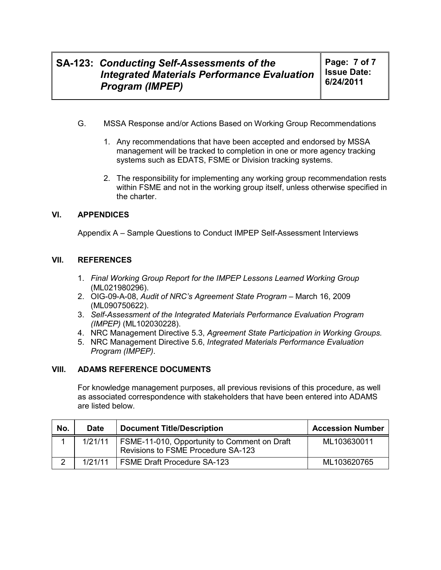**Page: 7 of 7 Issue Date: 6/24/2011** 

- G. MSSA Response and/or Actions Based on Working Group Recommendations
	- 1. Any recommendations that have been accepted and endorsed by MSSA management will be tracked to completion in one or more agency tracking systems such as EDATS, FSME or Division tracking systems.
	- 2. The responsibility for implementing any working group recommendation rests within FSME and not in the working group itself, unless otherwise specified in the charter.

### **VI. APPENDICES**

Appendix A – Sample Questions to Conduct IMPEP Self-Assessment Interviews

### **VII. REFERENCES**

- 1. *Final Working Group Report for the IMPEP Lessons Learned Working Group* (ML021980296).
- 2. OIG-09-A-08, *Audit of NRC's Agreement State Program* March 16, 2009 (ML090750622).
- 3. *Self-Assessment of the Integrated Materials Performance Evaluation Program (IMPEP)* (ML102030228).
- 4. NRC Management Directive 5.3, *Agreement State Participation in Working Groups.*
- 5. NRC Management Directive 5.6, *Integrated Materials Performance Evaluation Program (IMPEP)*.

### **VIII. ADAMS REFERENCE DOCUMENTS**

For knowledge management purposes, all previous revisions of this procedure, as well as associated correspondence with stakeholders that have been entered into ADAMS are listed below.

| No. | <b>Date</b> | <b>Document Title/Description</b>                                                  | <b>Accession Number</b> |
|-----|-------------|------------------------------------------------------------------------------------|-------------------------|
|     | 1/21/11     | FSME-11-010, Opportunity to Comment on Draft<br>Revisions to FSME Procedure SA-123 | ML103630011             |
|     | 1/21/11     | <b>FSME Draft Procedure SA-123</b>                                                 | ML103620765             |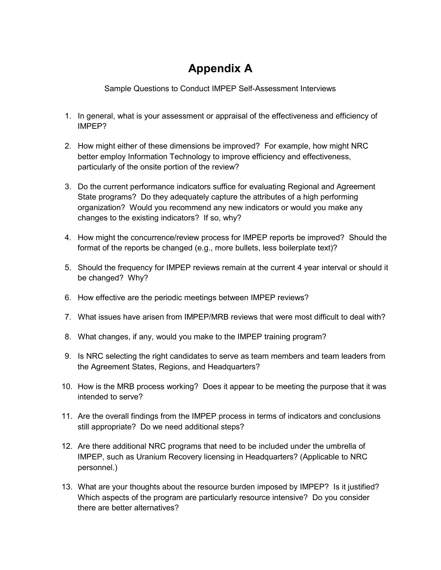# **Appendix A**

Sample Questions to Conduct IMPEP Self-Assessment Interviews

- 1. In general, what is your assessment or appraisal of the effectiveness and efficiency of IMPEP?
- 2. How might either of these dimensions be improved? For example, how might NRC better employ Information Technology to improve efficiency and effectiveness, particularly of the onsite portion of the review?
- 3. Do the current performance indicators suffice for evaluating Regional and Agreement State programs? Do they adequately capture the attributes of a high performing organization? Would you recommend any new indicators or would you make any changes to the existing indicators? If so, why?
- 4. How might the concurrence/review process for IMPEP reports be improved? Should the format of the reports be changed (e.g., more bullets, less boilerplate text)?
- 5. Should the frequency for IMPEP reviews remain at the current 4 year interval or should it be changed? Why?
- 6. How effective are the periodic meetings between IMPEP reviews?
- 7. What issues have arisen from IMPEP/MRB reviews that were most difficult to deal with?
- 8. What changes, if any, would you make to the IMPEP training program?
- 9. Is NRC selecting the right candidates to serve as team members and team leaders from the Agreement States, Regions, and Headquarters?
- 10. How is the MRB process working? Does it appear to be meeting the purpose that it was intended to serve?
- 11. Are the overall findings from the IMPEP process in terms of indicators and conclusions still appropriate? Do we need additional steps?
- 12. Are there additional NRC programs that need to be included under the umbrella of IMPEP, such as Uranium Recovery licensing in Headquarters? (Applicable to NRC personnel.)
- 13. What are your thoughts about the resource burden imposed by IMPEP? Is it justified? Which aspects of the program are particularly resource intensive? Do you consider there are better alternatives?